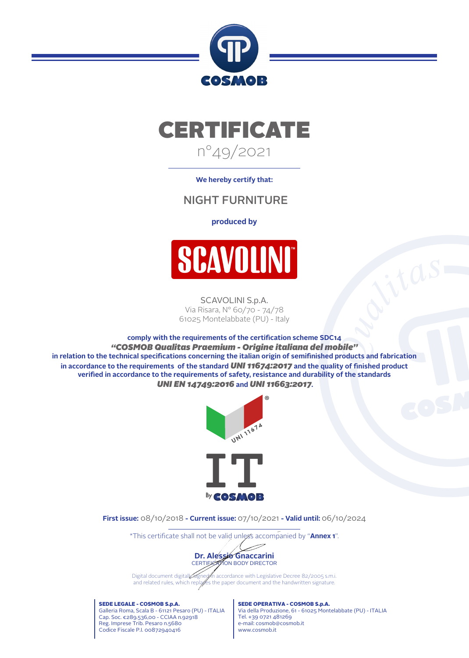



**We hereby certify that:**

## NIGHT FURNITURE

## **produced by**



SCAVOLINI S.p.A. Via Risara, N° 60/70 - 74/78 61025 Montelabbate (PU) - Italy

**comply with the requirements of the certication scheme SDC14** *"COSMOB Qualitas Praemium - Origine italiana del mobile"* in relation to the technical specifications concerning the italian origin of semifinished products and fabrication in accordance to the requirements of the standard *UNI 11674:2017* and the quality of finished product verified in accordance to the requirements of safety, resistance and durability of the standards *UNI EN 14749:2016* **and** *UNI 11663:2017***.**



**First issue:** 08/10/2018 **- Current issue:** 07/10/2021 **- Valid until:** 06/10/2024

\*This certificate shall not be valid unless accompanied by "Annex 1".



Digital document digitally signet in accordance with Legislative Decree 82/2005 s.m.i. and related rules, which replaces the paper document and the handwritten signature.

SEDE LEGALE - COSMOB S.p.A. Galleria Roma, Scala B - 61121 Pesaro (PU) - ITALIA Cap. Soc. €289.536,00 - CCIAA n.92918 Reg. Imprese Trib. Pesaro n.5680 Codice Fiscale P.I. 00872940416

SEDE OPERATIVA - COSMOB S.p.A. Via della Produzione, 61 - 61025 Montelabbate (PU) - ITALIA Tel. +39 0721 481269 e-mail: cosmob@cosmob.it www.cosmob.it